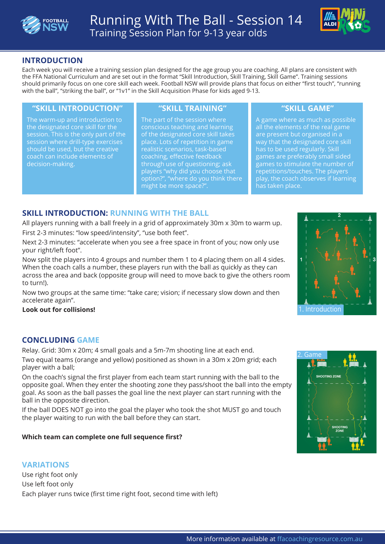



# **INTRODUCTION**

Each week you will receive a training session plan designed for the age group you are coaching. All plans are consistent with the FFA National Curriculum and are set out in the format "Skill Introduction, Skill Training, Skill Game". Training sessions should primarily focus on one core skill each week. Football NSW will provide plans that focus on either "first touch", "running with the ball", "striking the ball", or "1v1" in the Skill Acquisition Phase for kids aged 9-13.

### **"SKILL INTRODUCTION" "SKILL TRAINING" "SKILL GAME"**

The warm-up and introduction to the designated core skill for the session. This is the only part of the session where drill-type exercises should be used, but the creative coach can include elements of decision-making.

The part of the session where conscious teaching and learning of the designated core skill takes place. Lots of repetition in game realistic scenarios, task-based coaching, effective feedback through use of questioning; ask players "why did you choose that option?", "where do you think there might be more space?".

A game where as much as possible all the elements of the real game are present but organised in a way that the designated core skill has to be used regularly. Skill games are preferably small sided games to stimulate the number of repetitions/touches. The players play, the coach observes if learning has taken place.

# **SKILL INTRODUCTION: RUNNING WITH THE BALL**

All players running with a ball freely in a grid of approximately 30m x 30m to warm up. First 2-3 minutes: "low speed/intensity", "use both feet".

Next 2-3 minutes: "accelerate when you see a free space in front of you; now only use your right/left foot".

Now split the players into 4 groups and number them 1 to 4 placing them on all 4 sides. When the coach calls a number, these players run with the ball as quickly as they can across the area and back (opposite group will need to move back to give the others room to turn!).

Now two groups at the same time: "take care; vision; if necessary slow down and then accelerate again".

#### **Look out for collisions!**

# **CONCLUDING GAME**

Relay. Grid: 30m x 20m; 4 small goals and a 5m-7m shooting line at each end.

Two equal teams (orange and yellow) positioned as shown in a 30m x 20m grid; each player with a ball;

On the coach's signal the first player from each team start running with the ball to the opposite goal. When they enter the shooting zone they pass/shoot the ball into the empty goal. As soon as the ball passes the goal line the next player can start running with the ball in the opposite direction.

If the ball DOES NOT go into the goal the player who took the shot MUST go and touch the player waiting to run with the ball before they can start.

### **Which team can complete one full sequence first?**

### **VARIATIONS**

Use right foot only Use left foot only Each player runs twice (first time right foot, second time with left)